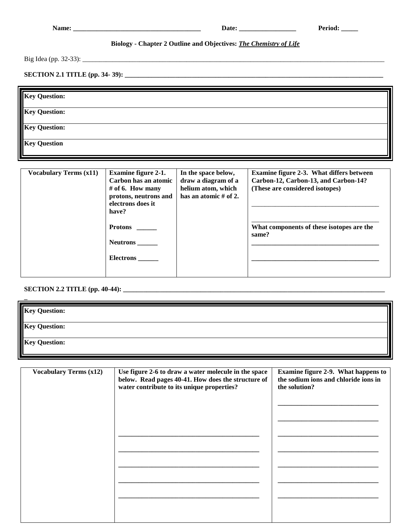|                               |                                                                                                                               |                                                                                           | Period:<br>Date:                                                                                                    |
|-------------------------------|-------------------------------------------------------------------------------------------------------------------------------|-------------------------------------------------------------------------------------------|---------------------------------------------------------------------------------------------------------------------|
|                               |                                                                                                                               | Biology - Chapter 2 Outline and Objectives: The Chemistry of Life                         |                                                                                                                     |
|                               |                                                                                                                               |                                                                                           |                                                                                                                     |
|                               |                                                                                                                               |                                                                                           |                                                                                                                     |
| <b>Key Question:</b>          |                                                                                                                               |                                                                                           |                                                                                                                     |
| <b>Key Question:</b>          |                                                                                                                               |                                                                                           |                                                                                                                     |
| <b>Key Question:</b>          |                                                                                                                               |                                                                                           |                                                                                                                     |
| <b>Key Question</b>           |                                                                                                                               |                                                                                           |                                                                                                                     |
| <b>Vocabulary Terms (x11)</b> | <b>Examine figure 2-1.</b><br>Carbon has an atomic<br># of 6. How many<br>protons, neutrons and<br>electrons does it<br>have? | In the space below,<br>draw a diagram of a<br>helium atom, which<br>has an atomic # of 2. | Examine figure 2-3. What differs between<br>Carbon-12, Carbon-13, and Carbon-14?<br>(These are considered isotopes) |
|                               | Neutrons ______<br><b>Electrons</b>                                                                                           |                                                                                           | What components of these isotopes are the<br>same?                                                                  |

**SECTION 2.2 TITLE (pp. 40-44): \_** 

| <b>Key Question:</b> |  |
|----------------------|--|
| <b>Key Question:</b> |  |
| <b>Key Question:</b> |  |

| <b>Vocabulary Terms (x12)</b> | Use figure 2-6 to draw a water molecule in the space<br>below. Read pages 40-41. How does the structure of<br>water contribute to its unique properties? | <b>Examine figure 2-9. What happens to</b><br>the sodium ions and chloride ions in<br>the solution? |
|-------------------------------|----------------------------------------------------------------------------------------------------------------------------------------------------------|-----------------------------------------------------------------------------------------------------|
|                               |                                                                                                                                                          |                                                                                                     |
|                               |                                                                                                                                                          |                                                                                                     |
|                               |                                                                                                                                                          |                                                                                                     |
|                               |                                                                                                                                                          |                                                                                                     |
|                               |                                                                                                                                                          |                                                                                                     |